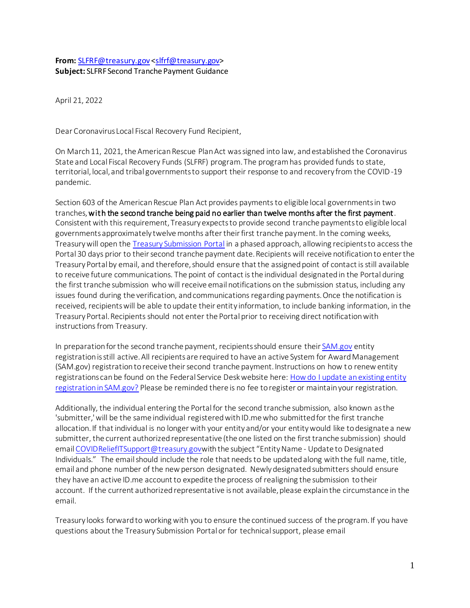## **From:** [SLFRF@treasury.gov](mailto:SLFRF@treasury.gov) [<slfrf@treasury.gov>](mailto:slfrf@treasury.gov) **Subject:** SLFRF Second Tranche Payment Guidance

April 21, 2022

Dear Coronavirus Local Fiscal Recovery Fund Recipient,

On March 11, 2021, the American Rescue Plan Act was signed into law, and established the Coronavirus State and Local Fiscal Recovery Funds (SLFRF) program. The program has provided funds to state, territorial, local, and tribal governments to support their response to and recovery from the COVID-19 pandemic.

Section 603 of the American Rescue Plan Act provides payments to eligible local governments in two tranches, with the second tranche being paid no earlier than twelve months after the first payment. Consistent with this requirement, Treasury expects to provide second tranche payments to eligible local governments approximately twelve months after their first tranche payment. In the coming weeks, Treasury will open th[e Treasury Submission Portal](https://treasury.gov/SLFRPPortal) in a phased approach, allowing recipients to access the Portal 30 days prior to their second tranche payment date. Recipients will receive notification to enter the Treasury Portal by email, and therefore, should ensure that the assigned point of contact is still available to receive future communications. The point of contact is the individual designated in the Portal during the first tranche submission who will receive email notifications on the submission status, including any issues found during the verification, and communications regarding payments. Once the notification is received, recipients will be able to update their entity information, to include banking information, in the Treasury Portal. Recipients should not enter the Portal prior to receiving direct notification with instructions from Treasury.

In preparation for the second tranche payment, recipients should ensure thei[r SAM.gov](https://sam.gov/content/home) entity registration is still active. All recipients are required to have an active System for Award Management (SAM.gov) registration to receive their second tranche payment. Instructions on how to renew entity registrations can be found on the Federal Service Desk website here[: How do I update an existing entity](https://www.fsd.gov/gsafsd_sp?id=kb_article_view&sysparm_article=KB0016307&sys_kb_id=308b082b1b5201d0937fa64ce54bcb14&spa=1)  [registration in SAM.gov?](https://www.fsd.gov/gsafsd_sp?id=kb_article_view&sysparm_article=KB0016307&sys_kb_id=308b082b1b5201d0937fa64ce54bcb14&spa=1) Please be reminded there is no fee to register or maintain your registration.

Additionally, the individual entering the Portal for the second tranche submission, also known as the 'submitter,' will be the same individual registered with ID.me who submitted for the first tranche allocation. If that individual is no longer with your entity and/or your entity would like to designate a new submitter, the current authorized representative (the one listed on the first tranche submission) should emai[l COVIDReliefITSupport@treasury.gov](mailto:COVIDReliefITSupport@treasury.gov)with the subject "Entity Name - Update to Designated Individuals." The email should include the role that needs to be updated along with the full name, title, email and phone number of the new person designated. Newly designated submitters should ensure they have an active ID.me account to expedite the process of realigning the submission to their account. If the current authorized representative is not available, please explain the circumstance in the email.

Treasury looks forward to working with you to ensure the continued success of the program. If you have questions about the Treasury Submission Portal or for technical support, please email